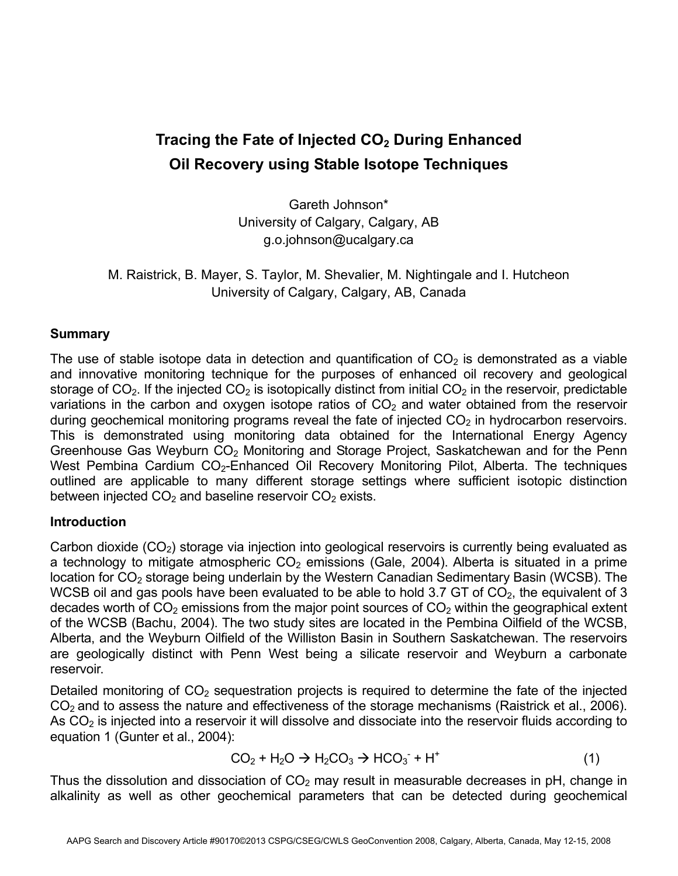# **Tracing the Fate of Injected CO2 During Enhanced Oil Recovery using Stable Isotope Techniques**

Gareth Johnson\* University of Calgary, Calgary, AB g.o.johnson@ucalgary.ca

M. Raistrick, B. Mayer, S. Taylor, M. Shevalier, M. Nightingale and I. Hutcheon University of Calgary, Calgary, AB, Canada

### **Summary**

The use of stable isotope data in detection and quantification of  $CO<sub>2</sub>$  is demonstrated as a viable and innovative monitoring technique for the purposes of enhanced oil recovery and geological storage of  $CO<sub>2</sub>$ . If the injected  $CO<sub>2</sub>$  is isotopically distinct from initial  $CO<sub>2</sub>$  in the reservoir, predictable variations in the carbon and oxygen isotope ratios of  $CO<sub>2</sub>$  and water obtained from the reservoir during geochemical monitoring programs reveal the fate of injected  $CO<sub>2</sub>$  in hydrocarbon reservoirs. This is demonstrated using monitoring data obtained for the International Energy Agency Greenhouse Gas Weyburn  $CO<sub>2</sub>$  Monitoring and Storage Project, Saskatchewan and for the Penn West Pembina Cardium CO<sub>2</sub>-Enhanced Oil Recovery Monitoring Pilot, Alberta. The techniques outlined are applicable to many different storage settings where sufficient isotopic distinction between injected  $CO<sub>2</sub>$  and baseline reservoir  $CO<sub>2</sub>$  exists.

### **Introduction**

Carbon dioxide  $(CO<sub>2</sub>)$  storage via injection into geological reservoirs is currently being evaluated as a technology to mitigate atmospheric  $CO<sub>2</sub>$  emissions (Gale, 2004). Alberta is situated in a prime location for  $CO<sub>2</sub>$  storage being underlain by the Western Canadian Sedimentary Basin (WCSB). The WCSB oil and gas pools have been evaluated to be able to hold 3.7 GT of  $CO<sub>2</sub>$ , the equivalent of 3 decades worth of  $CO<sub>2</sub>$  emissions from the major point sources of  $CO<sub>2</sub>$  within the geographical extent of the WCSB (Bachu, 2004). The two study sites are located in the Pembina Oilfield of the WCSB, Alberta, and the Weyburn Oilfield of the Williston Basin in Southern Saskatchewan. The reservoirs are geologically distinct with Penn West being a silicate reservoir and Weyburn a carbonate reservoir.

Detailed monitoring of  $CO<sub>2</sub>$  sequestration projects is required to determine the fate of the injected  $CO<sub>2</sub>$  and to assess the nature and effectiveness of the storage mechanisms (Raistrick et al., 2006). As CO<sub>2</sub> is injected into a reservoir it will dissolve and dissociate into the reservoir fluids according to equation 1 (Gunter et al., 2004):

$$
CO2 + H2O \rightarrow H2CO3 \rightarrow HCO3- + H+
$$
 (1)

Thus the dissolution and dissociation of  $CO<sub>2</sub>$  may result in measurable decreases in pH, change in alkalinity as well as other geochemical parameters that can be detected during geochemical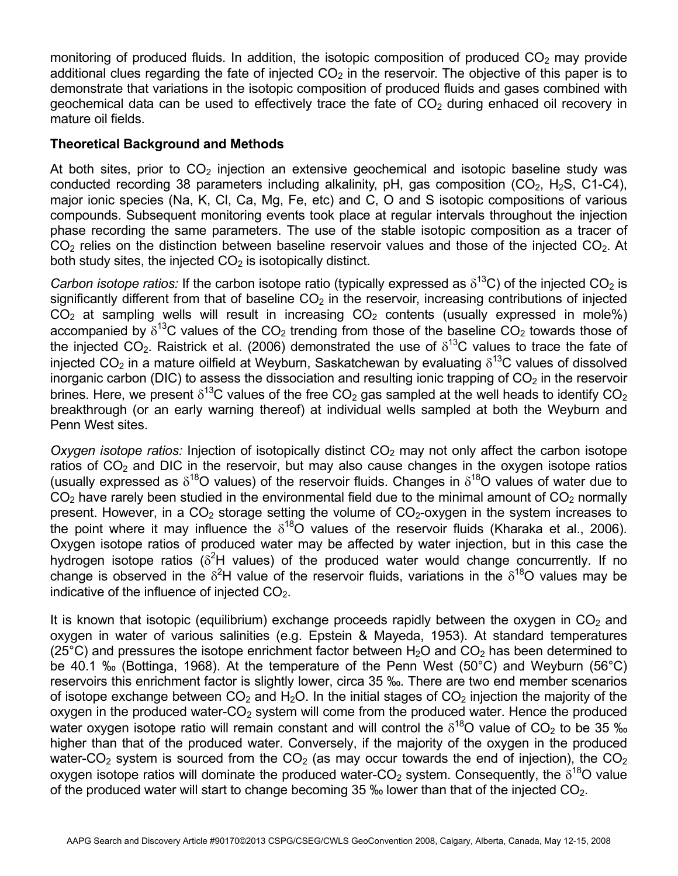monitoring of produced fluids. In addition, the isotopic composition of produced  $CO<sub>2</sub>$  may provide additional clues regarding the fate of injected  $CO<sub>2</sub>$  in the reservoir. The objective of this paper is to demonstrate that variations in the isotopic composition of produced fluids and gases combined with geochemical data can be used to effectively trace the fate of  $CO<sub>2</sub>$  during enhaced oil recovery in mature oil fields.

### **Theoretical Background and Methods**

At both sites, prior to  $CO<sub>2</sub>$  injection an extensive geochemical and isotopic baseline study was conducted recording 38 parameters including alkalinity, pH, gas composition  $(CO<sub>2</sub>, H<sub>2</sub>S, C1-C4)$ , major ionic species (Na, K, Cl, Ca, Mg, Fe, etc) and C, O and S isotopic compositions of various compounds. Subsequent monitoring events took place at regular intervals throughout the injection phase recording the same parameters. The use of the stable isotopic composition as a tracer of  $CO<sub>2</sub>$  relies on the distinction between baseline reservoir values and those of the injected  $CO<sub>2</sub>$ . At both study sites, the injected  $CO<sub>2</sub>$  is isotopically distinct.

*Carbon isotope ratios:* If the carbon isotope ratio (typically expressed as  $\delta^{13}$ C) of the injected CO<sub>2</sub> is significantly different from that of baseline  $CO<sub>2</sub>$  in the reservoir, increasing contributions of injected  $CO<sub>2</sub>$  at sampling wells will result in increasing  $CO<sub>2</sub>$  contents (usually expressed in mole%) accompanied by  $\delta^{13}$ C values of the CO<sub>2</sub> trending from those of the baseline CO<sub>2</sub> towards those of the injected CO<sub>2</sub>. Raistrick et al. (2006) demonstrated the use of  $\delta^{13}$ C values to trace the fate of injected CO<sub>2</sub> in a mature oilfield at Weyburn, Saskatchewan by evaluating  $\delta^{13}$ C values of dissolved inorganic carbon (DIC) to assess the dissociation and resulting ionic trapping of  $CO<sub>2</sub>$  in the reservoir brines. Here, we present  $\delta^{13}$ C values of the free CO<sub>2</sub> gas sampled at the well heads to identify CO<sub>2</sub> breakthrough (or an early warning thereof) at individual wells sampled at both the Weyburn and Penn West sites.

*Oxygen isotope ratios:* Injection of isotopically distinct  $CO<sub>2</sub>$  may not only affect the carbon isotope ratios of  $CO<sub>2</sub>$  and DIC in the reservoir, but may also cause changes in the oxygen isotope ratios (usually expressed as  $\delta^{18}O$  values) of the reservoir fluids. Changes in  $\delta^{18}O$  values of water due to  $CO<sub>2</sub>$  have rarely been studied in the environmental field due to the minimal amount of  $CO<sub>2</sub>$  normally present. However, in a  $CO<sub>2</sub>$  storage setting the volume of  $CO<sub>2</sub>$ -oxygen in the system increases to the point where it may influence the  $\delta^{18}$ O values of the reservoir fluids (Kharaka et al., 2006). Oxygen isotope ratios of produced water may be affected by water injection, but in this case the hydrogen isotope ratios ( $\delta^2$ H values) of the produced water would change concurrently. If no change is observed in the  $\delta^2$ H value of the reservoir fluids, variations in the  $\delta^{18}$ O values may be indicative of the influence of injected  $CO<sub>2</sub>$ .

It is known that isotopic (equilibrium) exchange proceeds rapidly between the oxygen in  $CO<sub>2</sub>$  and oxygen in water of various salinities (e.g. Epstein & Mayeda, 1953). At standard temperatures (25°C) and pressures the isotope enrichment factor between  $H_2O$  and  $CO_2$  has been determined to be 40.1 ‰ (Bottinga, 1968). At the temperature of the Penn West (50°C) and Weyburn (56°C) reservoirs this enrichment factor is slightly lower, circa 35 ‰. There are two end member scenarios of isotope exchange between  $CO<sub>2</sub>$  and  $H<sub>2</sub>O$ . In the initial stages of  $CO<sub>2</sub>$  injection the majority of the oxygen in the produced water- $CO<sub>2</sub>$  system will come from the produced water. Hence the produced water oxygen isotope ratio will remain constant and will control the  $\delta^{18}$ O value of CO<sub>2</sub> to be 35 ‰ higher than that of the produced water. Conversely, if the majority of the oxygen in the produced water-CO<sub>2</sub> system is sourced from the  $CO<sub>2</sub>$  (as may occur towards the end of injection), the  $CO<sub>2</sub>$ oxygen isotope ratios will dominate the produced water-CO<sub>2</sub> system. Consequently, the  $\delta^{18}O$  value of the produced water will start to change becoming 35 ‰ lower than that of the injected  $CO<sub>2</sub>$ .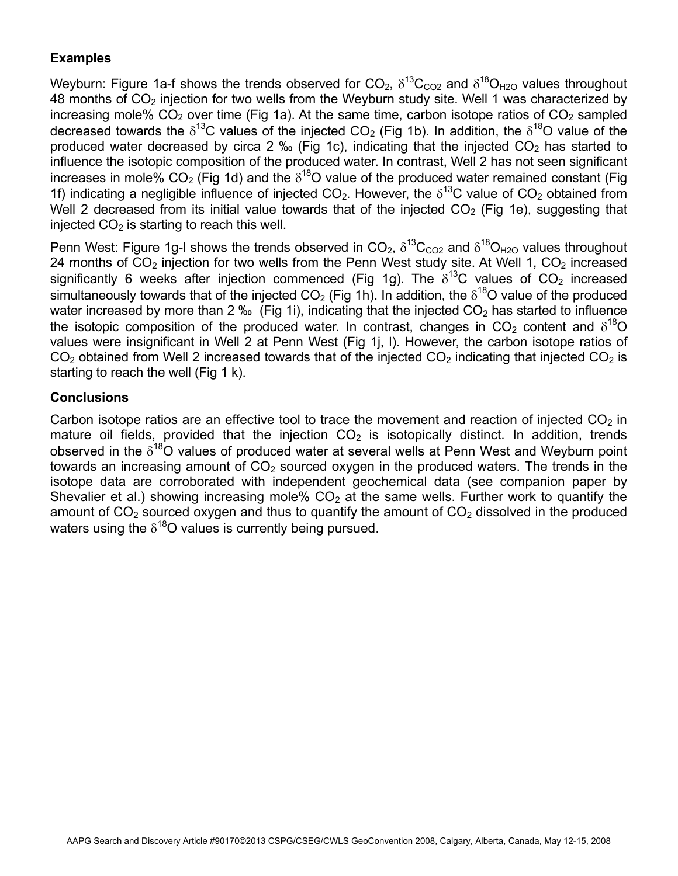## **Examples**

Weyburn: Figure 1a-f shows the trends observed for  $CO_2$ ,  $\delta^{13}C_{CO2}$  and  $\delta^{18}O_{H2O}$  values throughout 48 months of  $CO<sub>2</sub>$  injection for two wells from the Weyburn study site. Well 1 was characterized by increasing mole%  $CO<sub>2</sub>$  over time (Fig 1a). At the same time, carbon isotope ratios of  $CO<sub>2</sub>$  sampled decreased towards the  $\delta^{13}$ C values of the injected CO<sub>2</sub> (Fig 1b). In addition, the  $\delta^{18}$ O value of the produced water decreased by circa 2 ‰ (Fig 1c), indicating that the injected  $CO<sub>2</sub>$  has started to influence the isotopic composition of the produced water. In contrast, Well 2 has not seen significant increases in mole%  $CO<sub>2</sub>$  (Fig 1d) and the  $\delta^{18}O$  value of the produced water remained constant (Fig 1f) indicating a negligible influence of injected  $CO<sub>2</sub>$ . However, the  $\delta^{13}$ C value of  $CO<sub>2</sub>$  obtained from Well 2 decreased from its initial value towards that of the injected  $CO<sub>2</sub>$  (Fig 1e), suggesting that injected  $CO<sub>2</sub>$  is starting to reach this well.

Penn West: Figure 1g-I shows the trends observed in  $CO_2$ ,  $\delta^{13}C_{CO2}$  and  $\delta^{18}O_{H2O}$  values throughout 24 months of  $CO<sub>2</sub>$  injection for two wells from the Penn West study site. At Well 1,  $CO<sub>2</sub>$  increased significantly 6 weeks after injection commenced (Fig 1g). The  $\delta^{13}$ C values of CO<sub>2</sub> increased simultaneously towards that of the injected CO<sub>2</sub> (Fig 1h). In addition, the  $\delta^{18}$ O value of the produced water increased by more than 2 ‰ (Fig 1i), indicating that the injected  $CO<sub>2</sub>$  has started to influence the isotopic composition of the produced water. In contrast, changes in CO<sub>2</sub> content and  $\delta^{18}O$ values were insignificant in Well 2 at Penn West (Fig 1j, l). However, the carbon isotope ratios of  $CO<sub>2</sub>$  obtained from Well 2 increased towards that of the injected  $CO<sub>2</sub>$  indicating that injected  $CO<sub>2</sub>$  is starting to reach the well (Fig 1 k).

### **Conclusions**

Carbon isotope ratios are an effective tool to trace the movement and reaction of injected  $CO<sub>2</sub>$  in mature oil fields, provided that the injection  $CO<sub>2</sub>$  is isotopically distinct. In addition, trends observed in the  $\delta^{18}O$  values of produced water at several wells at Penn West and Weyburn point towards an increasing amount of  $CO<sub>2</sub>$  sourced oxygen in the produced waters. The trends in the isotope data are corroborated with independent geochemical data (see companion paper by Shevalier et al.) showing increasing mole%  $CO<sub>2</sub>$  at the same wells. Further work to quantify the amount of  $CO<sub>2</sub>$  sourced oxygen and thus to quantify the amount of  $CO<sub>2</sub>$  dissolved in the produced waters using the  $\delta^{18}O$  values is currently being pursued.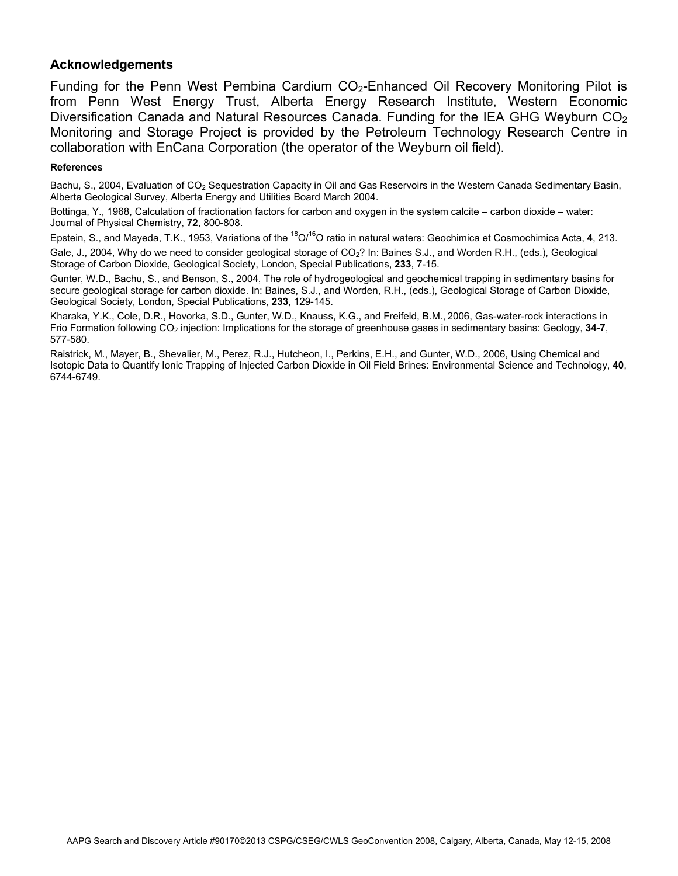### **Acknowledgements**

Funding for the Penn West Pembina Cardium  $CO<sub>2</sub>$ -Enhanced Oil Recovery Monitoring Pilot is from Penn West Energy Trust, Alberta Energy Research Institute, Western Economic Diversification Canada and Natural Resources Canada. Funding for the IEA GHG Weyburn  $CO<sub>2</sub>$ Monitoring and Storage Project is provided by the Petroleum Technology Research Centre in collaboration with EnCana Corporation (the operator of the Weyburn oil field).

#### **References**

Bachu, S., 2004, Evaluation of CO<sub>2</sub> Sequestration Capacity in Oil and Gas Reservoirs in the Western Canada Sedimentary Basin, Alberta Geological Survey, Alberta Energy and Utilities Board March 2004.

Bottinga, Y., 1968, Calculation of fractionation factors for carbon and oxygen in the system calcite – carbon dioxide – water: Journal of Physical Chemistry, **72**, 800-808.

Epstein, S., and Mayeda, T.K., 1953, Variations of the 18O/16O ratio in natural waters: Geochimica et Cosmochimica Acta, **4**, 213.

Gale, J., 2004, Why do we need to consider geological storage of CO<sub>2</sub>? In: Baines S.J., and Worden R.H., (eds.), Geological Storage of Carbon Dioxide, Geological Society, London, Special Publications, **233**, 7-15.

Gunter, W.D., Bachu, S., and Benson, S., 2004, The role of hydrogeological and geochemical trapping in sedimentary basins for secure geological storage for carbon dioxide. In: Baines, S.J., and Worden, R.H., (eds.), Geological Storage of Carbon Dioxide, Geological Society, London, Special Publications, **233**, 129-145.

Kharaka, Y.K., Cole, D.R., Hovorka, S.D., Gunter, W.D., Knauss, K.G., and Freifeld, B.M., 2006, Gas-water-rock interactions in Frio Formation following CO2 injection: Implications for the storage of greenhouse gases in sedimentary basins: Geology, **34-7**, 577-580.

Raistrick, M., Mayer, B., Shevalier, M., Perez, R.J., Hutcheon, I., Perkins, E.H., and Gunter, W.D., 2006, Using Chemical and Isotopic Data to Quantify Ionic Trapping of Injected Carbon Dioxide in Oil Field Brines: Environmental Science and Technology, **40**, 6744-6749.